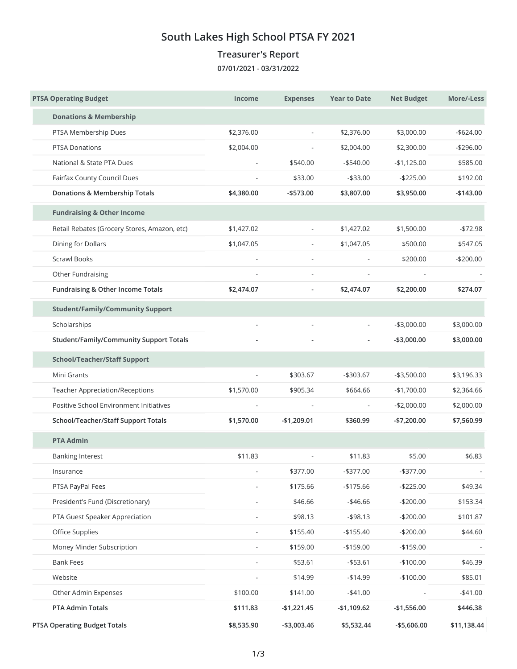## **South Lakes High School PTSA FY 2021**

## **Treasurer's Report**

**07/01/2021 - 03/31/2022**

| <b>PTSA Operating Budget</b>                   | <b>Income</b>            | <b>Expenses</b>          | <b>Year to Date</b>      | <b>Net Budget</b> | More/-Less  |
|------------------------------------------------|--------------------------|--------------------------|--------------------------|-------------------|-------------|
| <b>Donations &amp; Membership</b>              |                          |                          |                          |                   |             |
| PTSA Membership Dues                           | \$2,376.00               |                          | \$2,376.00               | \$3,000.00        | $-$624.00$  |
| <b>PTSA Donations</b>                          | \$2,004.00               |                          | \$2,004.00               | \$2,300.00        | $-$296.00$  |
| National & State PTA Dues                      |                          | \$540.00                 | $-$540.00$               | $-$1,125.00$      | \$585.00    |
| Fairfax County Council Dues                    | $\frac{1}{2}$            | \$33.00                  | $- $33.00$               | $-$225.00$        | \$192.00    |
| <b>Donations &amp; Membership Totals</b>       | \$4,380.00               | $-$573.00$               | \$3,807.00               | \$3,950.00        | $-$143.00$  |
| <b>Fundraising &amp; Other Income</b>          |                          |                          |                          |                   |             |
| Retail Rebates (Grocery Stores, Amazon, etc)   | \$1,427.02               |                          | \$1,427.02               | \$1,500.00        | $-$72.98$   |
| Dining for Dollars                             | \$1,047.05               |                          | \$1,047.05<br>\$500.00   |                   | \$547.05    |
| <b>Scrawl Books</b>                            | $\overline{\phantom{a}}$ | $\overline{\phantom{a}}$ |                          | \$200.00          | $-$200.00$  |
| Other Fundraising                              |                          |                          |                          |                   |             |
| Fundraising & Other Income Totals              | \$2,474.07               | $\overline{\phantom{a}}$ | \$2,474.07               | \$2,200.00        | \$274.07    |
| <b>Student/Family/Community Support</b>        |                          |                          |                          |                   |             |
| Scholarships                                   | ÷,                       |                          | $\overline{a}$           | $-$3,000.00$      | \$3,000.00  |
| <b>Student/Family/Community Support Totals</b> | $\overline{a}$           |                          | $\overline{\phantom{a}}$ | $- $3,000.00$     | \$3,000.00  |
| <b>School/Teacher/Staff Support</b>            |                          |                          |                          |                   |             |
| Mini Grants                                    | $\frac{1}{2}$            | \$303.67                 | $-$303.67$               | $- $3,500.00$     | \$3,196.33  |
| <b>Teacher Appreciation/Receptions</b>         | \$1,570.00               | \$905.34                 | \$664.66                 | $-$1,700.00$      | \$2,364.66  |
| Positive School Environment Initiatives        | ÷,                       |                          |                          | $-$2,000.00$      | \$2,000.00  |
| School/Teacher/Staff Support Totals            | \$1,570.00               | $-$1,209.01$<br>\$360.99 |                          | $-$7,200.00$      | \$7,560.99  |
| <b>PTA Admin</b>                               |                          |                          |                          |                   |             |
| <b>Banking Interest</b>                        | \$11.83                  |                          | \$11.83                  | \$5.00            | \$6.83      |
| Insurance                                      |                          | \$377.00                 | $- $377.00$              | $-$377.00$        |             |
| PTSA PayPal Fees                               |                          | \$175.66                 | $-$175.66$               | $-$225.00$        | \$49.34     |
| President's Fund (Discretionary)               |                          | \$46.66                  | $-$46.66$                | $-$200.00$        | \$153.34    |
| PTA Guest Speaker Appreciation                 |                          | \$98.13                  | $-$ \$98.13              | $-$200.00$        | \$101.87    |
| Office Supplies                                |                          | \$155.40                 | $-$155.40$               | $-$200.00$        | \$44.60     |
| Money Minder Subscription                      |                          | \$159.00                 | $-$ \$159.00             | $-$159.00$        |             |
| <b>Bank Fees</b>                               |                          | \$53.61                  | $- $53.61$               | $-$100.00$        | \$46.39     |
| Website                                        |                          | \$14.99                  | $-$14.99$                | $-$100.00$        | \$85.01     |
| Other Admin Expenses                           | \$100.00                 | \$141.00                 | $-$41.00$                |                   | $-$41.00$   |
| <b>PTA Admin Totals</b>                        | \$111.83                 | $-$1,221.45$             | -\$1,109.62              | $-$1,556.00$      | \$446.38    |
| <b>PTSA Operating Budget Totals</b>            | \$8,535.90               | -\$3,003.46              | \$5,532.44               | $-$5,606.00$      | \$11,138.44 |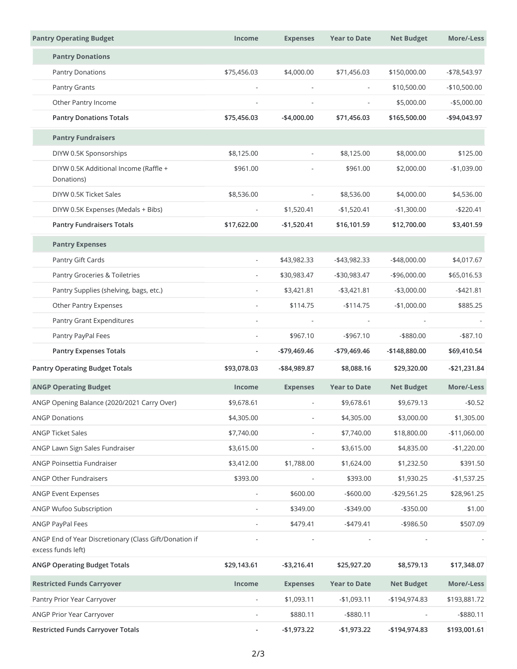| <b>Pantry Operating Budget</b>                                               | <b>Income</b>            | <b>Expenses</b>              | <b>Year to Date</b> | <b>Net Budget</b> | More/-Less    |
|------------------------------------------------------------------------------|--------------------------|------------------------------|---------------------|-------------------|---------------|
| <b>Pantry Donations</b>                                                      |                          |                              |                     |                   |               |
| <b>Pantry Donations</b>                                                      | \$75,456.03              | \$4,000.00                   | \$71,456.03         | \$150,000.00      | -\$78,543.97  |
| Pantry Grants                                                                | $\overline{\phantom{a}}$ |                              |                     | \$10,500.00       | $-$10,500.00$ |
| Other Pantry Income                                                          | L,                       |                              |                     | \$5,000.00        | $-$5,000.00$  |
| <b>Pantry Donations Totals</b>                                               | \$75,456.03              | $-$4,000.00$                 | \$71,456.03         | \$165,500.00      | -\$94,043.97  |
| <b>Pantry Fundraisers</b>                                                    |                          |                              |                     |                   |               |
| DIYW 0.5K Sponsorships                                                       | \$8,125.00               | $\overline{\phantom{a}}$     | \$8,125.00          | \$8,000.00        | \$125.00      |
| DIYW 0.5K Additional Income (Raffle +<br>Donations)                          | \$961.00                 |                              | \$961.00            | \$2,000.00        | $-$1,039.00$  |
| DIYW 0.5K Ticket Sales                                                       | \$8,536.00               | $\overline{\phantom{a}}$     | \$8,536.00          | \$4,000.00        | \$4,536.00    |
| DIYW 0.5K Expenses (Medals + Bibs)                                           | $\overline{\phantom{a}}$ | \$1,520.41                   | $-$1,520.41$        | $-$1,300.00$      | -\$220.41     |
| <b>Pantry Fundraisers Totals</b>                                             | \$17,622.00              | $-$1,520.41$                 | \$16,101.59         | \$12,700.00       | \$3,401.59    |
| <b>Pantry Expenses</b>                                                       |                          |                              |                     |                   |               |
| Pantry Gift Cards                                                            | $\overline{\phantom{a}}$ | \$43,982.33                  | $-$ \$43,982.33     | -\$48,000.00      | \$4,017.67    |
| Pantry Groceries & Toiletries                                                | $\overline{\phantom{a}}$ | \$30,983.47                  | -\$30,983.47        | $-$ \$96,000.00   | \$65,016.53   |
| Pantry Supplies (shelving, bags, etc.)                                       | $\overline{\phantom{a}}$ | \$3,421.81                   | $- $3,421.81$       | $-$3,000.00$      | $- $421.81$   |
| Other Pantry Expenses                                                        | $\overline{\phantom{a}}$ | \$114.75                     | $-$114.75$          | $-$1,000.00$      | \$885.25      |
| Pantry Grant Expenditures                                                    | $\overline{\phantom{a}}$ |                              |                     |                   |               |
| Pantry PayPal Fees                                                           | ä,                       | \$967.10                     | $-$ \$967.10        | -\$880.00         | $-$ \$87.10   |
| <b>Pantry Expenses Totals</b>                                                | ٠                        | -\$79,469.46                 | -\$79,469.46        | -\$148,880.00     | \$69,410.54   |
| <b>Pantry Operating Budget Totals</b>                                        | \$93,078.03              | -\$84,989.87                 | \$8,088.16          | \$29,320.00       | -\$21,231.84  |
| <b>ANGP Operating Budget</b>                                                 | <b>Income</b>            | <b>Expenses</b>              | <b>Year to Date</b> | <b>Net Budget</b> | More/-Less    |
| ANGP Opening Balance (2020/2021 Carry Over)                                  | \$9,678.61               |                              | \$9,678.61          | \$9,679.13        | $-$0.52$      |
| <b>ANGP Donations</b>                                                        | \$4,305.00               | $\qquad \qquad \blacksquare$ | \$4,305.00          | \$3,000.00        | \$1,305.00    |
| <b>ANGP Ticket Sales</b>                                                     | \$7,740.00               |                              | \$7,740.00          | \$18,800.00       | $-$11,060.00$ |
| ANGP Lawn Sign Sales Fundraiser                                              | \$3,615.00               |                              | \$3,615.00          | \$4,835.00        | $-$1,220.00$  |
| ANGP Poinsettia Fundraiser                                                   | \$3,412.00               | \$1,788.00                   | \$1,624.00          | \$1,232.50        | \$391.50      |
| <b>ANGP Other Fundraisers</b>                                                | \$393.00                 |                              | \$393.00            | \$1,930.25        | $-$1,537.25$  |
| ANGP Event Expenses                                                          |                          | \$600.00                     | $-$ \$600.00        | -\$29,561.25      | \$28,961.25   |
| ANGP Wufoo Subscription                                                      |                          | \$349.00                     | $-$349.00$          | $- $350.00$       | \$1.00        |
| ANGP PayPal Fees                                                             |                          | \$479.41                     | $-$479.41$          | -\$986.50         | \$507.09      |
| ANGP End of Year Discretionary (Class Gift/Donation if<br>excess funds left) |                          |                              |                     |                   |               |
| <b>ANGP Operating Budget Totals</b>                                          | \$29,143.61              | $- $3,216.41$                | \$25,927.20         | \$8,579.13        | \$17,348.07   |
| <b>Restricted Funds Carryover</b>                                            | Income                   | <b>Expenses</b>              | <b>Year to Date</b> | <b>Net Budget</b> | More/-Less    |
| Pantry Prior Year Carryover                                                  |                          | \$1,093.11                   | $-$1,093.11$        | -\$194,974.83     | \$193,881.72  |
| ANGP Prior Year Carryover                                                    |                          | \$880.11                     | $-$ \$880.11        |                   | $-$ \$880.11  |
| <b>Restricted Funds Carryover Totals</b>                                     |                          | $-$1,973.22$                 | $-$1,973.22$        | -\$194,974.83     | \$193,001.61  |